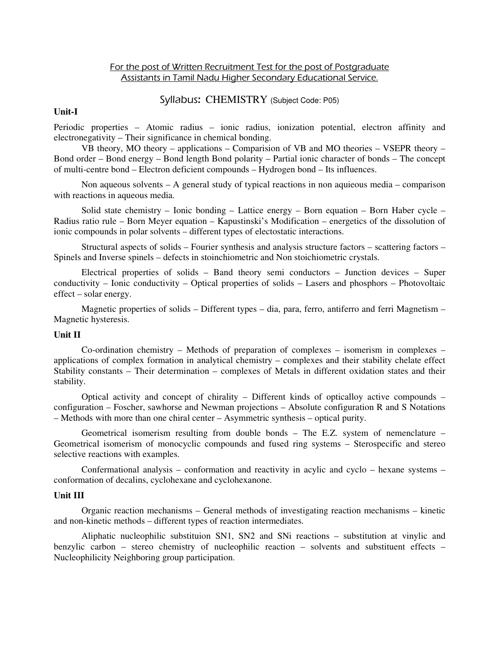## For the post of Written Recruitment Test for the post of Postgraduate Assistants in Tamil Nadu Higher Secondary Educational Service.

# Syllabus: CHEMISTRY (Subject Code: P05)

## **Unit-I**

Periodic properties – Atomic radius – ionic radius, ionization potential, electron affinity and electronegativity – Their significance in chemical bonding.

 VB theory, MO theory – applications – Comparision of VB and MO theories – VSEPR theory – Bond order – Bond energy – Bond length Bond polarity – Partial ionic character of bonds – The concept of multi-centre bond – Electron deficient compounds – Hydrogen bond – Its influences.

Non aqueous solvents – A general study of typical reactions in non aquieous media – comparison with reactions in aqueous media.

Solid state chemistry – Ionic bonding – Lattice energy – Born equation – Born Haber cycle – Radius ratio rule – Born Meyer equation – Kapustinski's Modification – energetics of the dissolution of ionic compounds in polar solvents – different types of electostatic interactions.

Structural aspects of solids – Fourier synthesis and analysis structure factors – scattering factors – Spinels and Inverse spinels – defects in stoinchiometric and Non stoichiometric crystals.

Electrical properties of solids – Band theory semi conductors – Junction devices – Super conductivity – Ionic conductivity – Optical properties of solids – Lasers and phosphors – Photovoltaic effect – solar energy.

Magnetic properties of solids – Different types – dia, para, ferro, antiferro and ferri Magnetism – Magnetic hysteresis.

# **Unit II**

 Co-ordination chemistry – Methods of preparation of complexes – isomerism in complexes – applications of complex formation in analytical chemistry – complexes and their stability chelate effect Stability constants – Their determination – complexes of Metals in different oxidation states and their stability.

 Optical activity and concept of chirality – Different kinds of opticalloy active compounds – configuration – Foscher, sawhorse and Newman projections – Absolute configuration R and S Notations – Methods with more than one chiral center – Asymmetric synthesis – optical purity.

 Geometrical isomerism resulting from double bonds – The E.Z. system of nemenclature – Geometrical isomerism of monocyclic compounds and fused ring systems – Sterospecific and stereo selective reactions with examples.

 Confermational analysis – conformation and reactivity in acylic and cyclo – hexane systems – conformation of decalins, cyclohexane and cyclohexanone.

## **Unit III**

 Organic reaction mechanisms – General methods of investigating reaction mechanisms – kinetic and non-kinetic methods – different types of reaction intermediates.

 Aliphatic nucleophilic substituion SN1, SN2 and SNi reactions – substitution at vinylic and benzylic carbon – stereo chemistry of nucleophilic reaction – solvents and substituent effects – Nucleophilicity Neighboring group participation.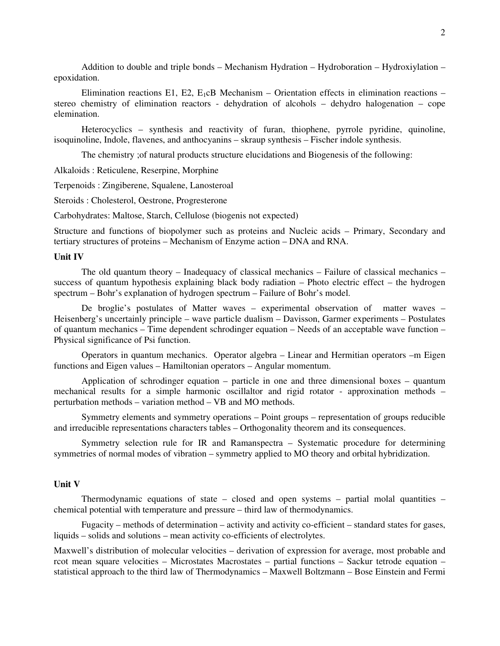Addition to double and triple bonds – Mechanism Hydration – Hydroboration – Hydroxiylation – epoxidation.

Elimination reactions E1, E2,  $E_1 \text{c}B$  Mechanism – Orientation effects in elimination reactions – stereo chemistry of elimination reactors - dehydration of alcohols – dehydro halogenation – cope elemination.

 Heterocyclics – synthesis and reactivity of furan, thiophene, pyrrole pyridine, quinoline, isoquinoline, Indole, flavenes, and anthocyanins – skraup synthesis – Fischer indole synthesis.

The chemistry ;of natural products structure elucidations and Biogenesis of the following:

Alkaloids : Reticulene, Reserpine, Morphine

Terpenoids : Zingiberene, Squalene, Lanosteroal

Steroids : Cholesterol, Oestrone, Progresterone

Carbohydrates: Maltose, Starch, Cellulose (biogenis not expected)

Structure and functions of biopolymer such as proteins and Nucleic acids – Primary, Secondary and tertiary structures of proteins – Mechanism of Enzyme action – DNA and RNA.

### **Unit IV**

 The old quantum theory – Inadequacy of classical mechanics – Failure of classical mechanics – success of quantum hypothesis explaining black body radiation – Photo electric effect – the hydrogen spectrum – Bohr's explanation of hydrogen spectrum – Failure of Bohr's model.

 De broglie's postulates of Matter waves – experimental observation of matter waves – Heisenberg's uncertainly principle – wave particle dualism – Davisson, Garmer experiments – Postulates of quantum mechanics – Time dependent schrodinger equation – Needs of an acceptable wave function – Physical significance of Psi function.

 Operators in quantum mechanics. Operator algebra – Linear and Hermitian operators –m Eigen functions and Eigen values – Hamiltonian operators – Angular momentum.

 Application of schrodinger equation – particle in one and three dimensional boxes – quantum mechanical results for a simple harmonic oscillaltor and rigid rotator - approxination methods – perturbation methods – variation method – VB and MO methods.

 Symmetry elements and symmetry operations – Point groups – representation of groups reducible and irreducible representations characters tables – Orthogonality theorem and its consequences.

 Symmetry selection rule for IR and Ramanspectra – Systematic procedure for determining symmetries of normal modes of vibration – symmetry applied to MO theory and orbital hybridization.

#### **Unit V**

Thermodynamic equations of state – closed and open systems – partial molal quantities – chemical potential with temperature and pressure – third law of thermodynamics.

 Fugacity – methods of determination – activity and activity co-efficient – standard states for gases, liquids – solids and solutions – mean activity co-efficients of electrolytes.

Maxwell's distribution of molecular velocities – derivation of expression for average, most probable and rcot mean square velocities – Microstates Macrostates – partial functions – Sackur tetrode equation – statistical approach to the third law of Thermodynamics – Maxwell Boltzmann – Bose Einstein and Fermi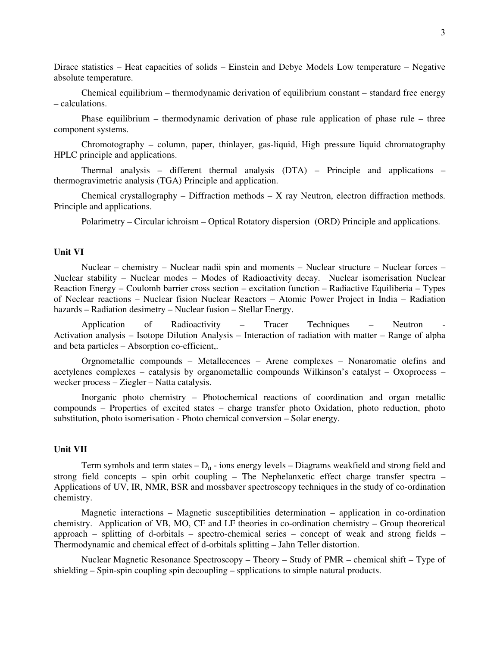Dirace statistics – Heat capacities of solids – Einstein and Debye Models Low temperature – Negative absolute temperature.

 Chemical equilibrium – thermodynamic derivation of equilibrium constant – standard free energy – calculations.

 Phase equilibrium – thermodynamic derivation of phase rule application of phase rule – three component systems.

 Chromotography – column, paper, thinlayer, gas-liquid, High pressure liquid chromatography HPLC principle and applications.

 Thermal analysis – different thermal analysis (DTA) – Principle and applications – thermogravimetric analysis (TGA) Principle and application.

Chemical crystallography – Diffraction methods – X ray Neutron, electron diffraction methods. Principle and applications.

Polarimetry – Circular ichroism – Optical Rotatory dispersion (ORD) Principle and applications.

## **Unit VI**

 Nuclear – chemistry – Nuclear nadii spin and moments – Nuclear structure – Nuclear forces – Nuclear stability – Nuclear modes – Modes of Radioactivity decay. Nuclear isomerisation Nuclear Reaction Energy – Coulomb barrier cross section – excitation function – Radiactive Equiliberia – Types of Neclear reactions – Nuclear fision Nuclear Reactors – Atomic Power Project in India – Radiation hazards – Radiation desimetry – Nuclear fusion – Stellar Energy.

 Application of Radioactivity – Tracer Techniques – Neutron - Activation analysis – Isotope Dilution Analysis – Interaction of radiation with matter – Range of alpha and beta particles – Absorption co-efficient,.

 Orgnometallic compounds – Metallecences – Arene complexes – Nonaromatie olefins and acetylenes complexes – catalysis by organometallic compounds Wilkinson's catalyst – Oxoprocess – wecker process – Ziegler – Natta catalysis.

 Inorganic photo chemistry – Photochemical reactions of coordination and organ metallic compounds – Properties of excited states – charge transfer photo Oxidation, photo reduction, photo substitution, photo isomerisation - Photo chemical conversion – Solar energy.

### **Unit VII**

Term symbols and term states  $-D_n$  - ions energy levels – Diagrams weakfield and strong field and strong field concepts – spin orbit coupling – The Nephelanxetic effect charge transfer spectra – Applications of UV, IR, NMR, BSR and mossbaver spectroscopy techniques in the study of co-ordination chemistry.

 Magnetic interactions – Magnetic susceptibilities determination – application in co-ordination chemistry. Application of VB, MO, CF and LF theories in co-ordination chemistry – Group theoretical approach – splitting of d-orbitals – spectro-chemical series – concept of weak and strong fields – Thermodynamic and chemical effect of d-orbitals splitting – Jahn Teller distortion.

 Nuclear Magnetic Resonance Spectroscopy – Theory – Study of PMR – chemical shift – Type of shielding – Spin-spin coupling spin decoupling – spplications to simple natural products.